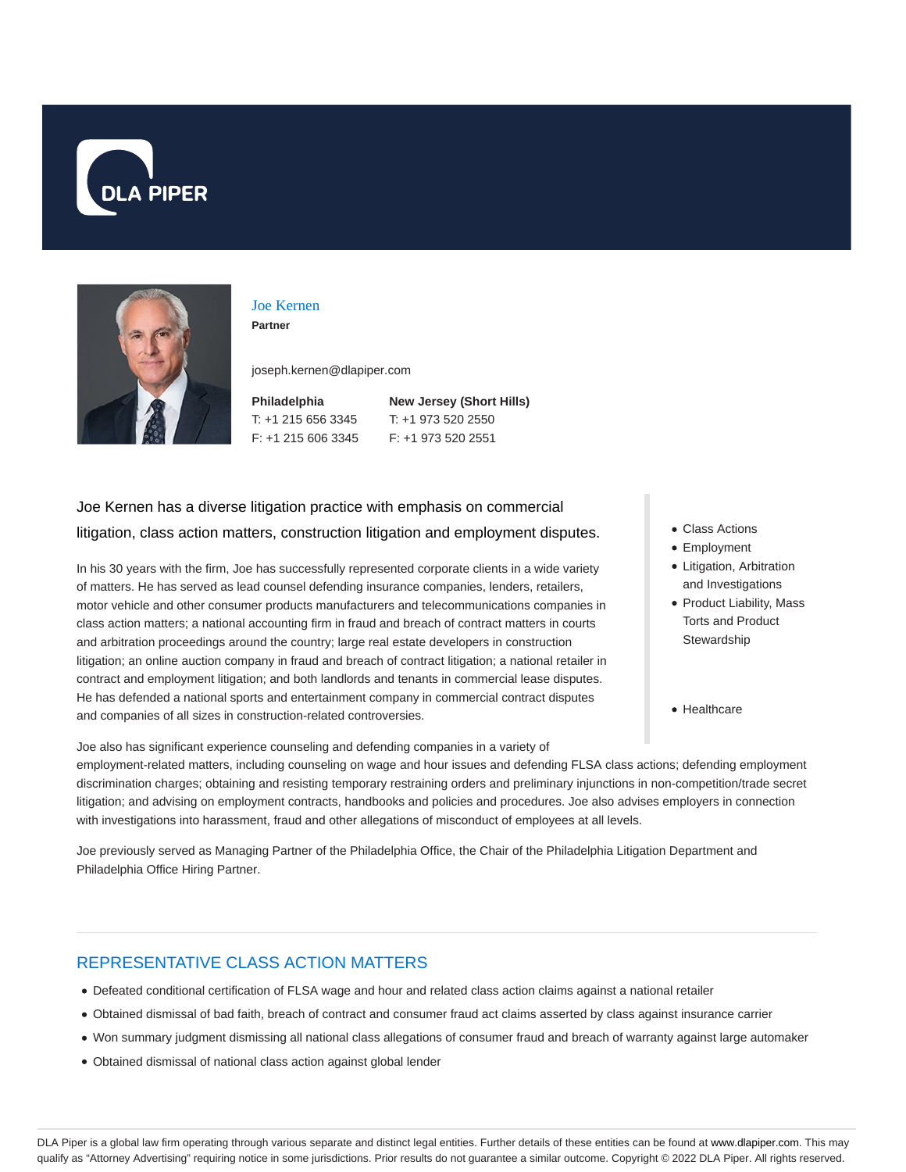



#### Joe Kernen **Partner**

joseph.kernen@dlapiper.com

**Philadelphia** T: +1 215 656 3345 F: +1 215 606 3345

**New Jersey (Short Hills)** T: +1 973 520 2550 F: +1 973 520 2551

# Joe Kernen has a diverse litigation practice with emphasis on commercial litigation, class action matters, construction litigation and employment disputes.

In his 30 years with the firm, Joe has successfully represented corporate clients in a wide variety of matters. He has served as lead counsel defending insurance companies, lenders, retailers, motor vehicle and other consumer products manufacturers and telecommunications companies in class action matters; a national accounting firm in fraud and breach of contract matters in courts and arbitration proceedings around the country; large real estate developers in construction litigation; an online auction company in fraud and breach of contract litigation; a national retailer in contract and employment litigation; and both landlords and tenants in commercial lease disputes. He has defended a national sports and entertainment company in commercial contract disputes and companies of all sizes in construction-related controversies.

Joe also has significant experience counseling and defending companies in a variety of

- Class Actions
- Employment
- Litigation, Arbitration and Investigations
- Product Liability, Mass Torts and Product **Stewardship**
- Healthcare

employment-related matters, including counseling on wage and hour issues and defending FLSA class actions; defending employment discrimination charges; obtaining and resisting temporary restraining orders and preliminary injunctions in non-competition/trade secret litigation; and advising on employment contracts, handbooks and policies and procedures. Joe also advises employers in connection with investigations into harassment, fraud and other allegations of misconduct of employees at all levels.

Joe previously served as Managing Partner of the Philadelphia Office, the Chair of the Philadelphia Litigation Department and Philadelphia Office Hiring Partner.

# REPRESENTATIVE CLASS ACTION MATTERS

- Defeated conditional certification of FLSA wage and hour and related class action claims against a national retailer
- Obtained dismissal of bad faith, breach of contract and consumer fraud act claims asserted by class against insurance carrier
- Won summary judgment dismissing all national class allegations of consumer fraud and breach of warranty against large automaker
- Obtained dismissal of national class action against global lender

DLA Piper is a global law firm operating through various separate and distinct legal entities. Further details of these entities can be found at www.dlapiper.com. This may qualify as "Attorney Advertising" requiring notice in some jurisdictions. Prior results do not guarantee a similar outcome. Copyright © 2022 DLA Piper. All rights reserved.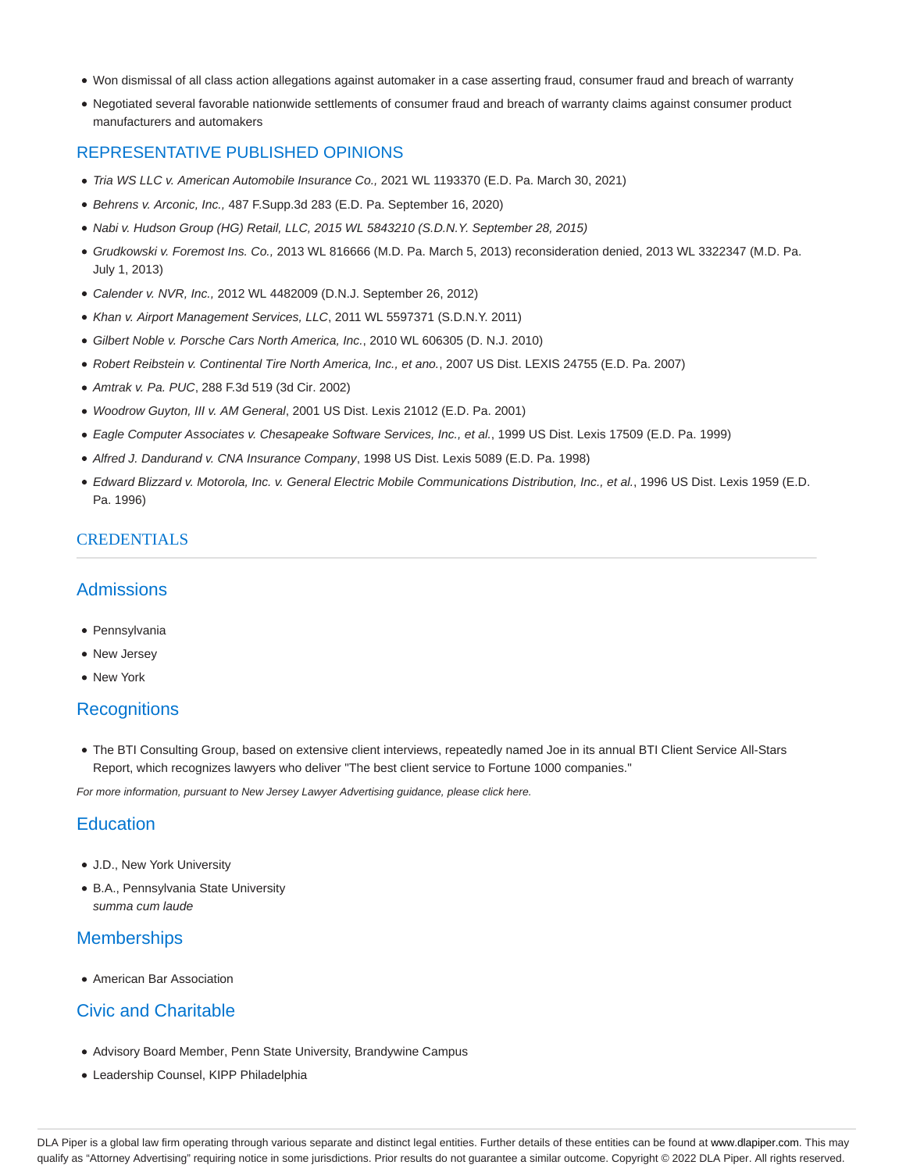- Won dismissal of all class action allegations against automaker in a case asserting fraud, consumer fraud and breach of warranty
- Negotiated several favorable nationwide settlements of consumer fraud and breach of warranty claims against consumer product manufacturers and automakers

#### REPRESENTATIVE PUBLISHED OPINIONS

- Tria WS LLC v. American Automobile Insurance Co., 2021 WL 1193370 (E.D. Pa. March 30, 2021)
- Behrens v. Arconic, Inc., 487 F.Supp.3d 283 (E.D. Pa. September 16, 2020)
- Nabi v. Hudson Group (HG) Retail, LLC, 2015 WL 5843210 (S.D.N.Y. September 28, 2015)
- Grudkowski v. Foremost Ins. Co., 2013 WL 816666 (M.D. Pa. March 5, 2013) reconsideration denied, 2013 WL 3322347 (M.D. Pa. July 1, 2013)
- Calender v. NVR, Inc., 2012 WL 4482009 (D.N.J. September 26, 2012)
- Khan v. Airport Management Services, LLC, 2011 WL 5597371 (S.D.N.Y. 2011)
- Gilbert Noble v. Porsche Cars North America, Inc., 2010 WL 606305 (D. N.J. 2010)
- Robert Reibstein v. Continental Tire North America, Inc., et ano., 2007 US Dist. LEXIS 24755 (E.D. Pa. 2007)
- Amtrak v. Pa. PUC, 288 F.3d 519 (3d Cir. 2002)
- Woodrow Guyton, III v. AM General, 2001 US Dist. Lexis 21012 (E.D. Pa. 2001)
- Eagle Computer Associates v. Chesapeake Software Services, Inc., et al., 1999 US Dist. Lexis 17509 (E.D. Pa. 1999)
- Alfred J. Dandurand v. CNA Insurance Company, 1998 US Dist. Lexis 5089 (E.D. Pa. 1998)
- Edward Blizzard v. Motorola, Inc. v. General Electric Mobile Communications Distribution, Inc., et al., 1996 US Dist. Lexis 1959 (E.D. Pa. 1996)

#### **CREDENTIALS**

#### **Admissions**

- Pennsylvania
- New Jersey
- New York

### **Recognitions**

The BTI Consulting Group, based on extensive client interviews, repeatedly named Joe in its annual BTI Client Service All-Stars Report, which recognizes lawyers who deliver "The best client service to Fortune 1000 companies."

For more information, pursuant to New Jersey Lawyer Advertising guidance, please click here.

## **Education**

- J.D., New York University
- B.A., Pennsylvania State University summa cum laude

## **Memberships**

American Bar Association

## Civic and Charitable

- Advisory Board Member, Penn State University, Brandywine Campus
- Leadership Counsel, KIPP Philadelphia